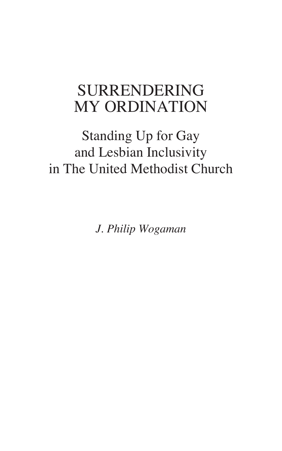# SURRENDERING MY ORDINATION

# Standing Up for Gay and Lesbian Inclusivity in The United Methodist Church

*J. Philip Wogaman*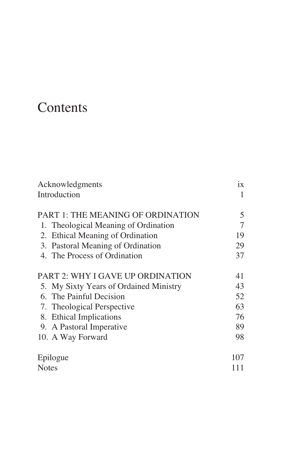# **Contents**

| Acknowledgments                        | ix  |
|----------------------------------------|-----|
| Introduction                           | 1   |
| PART 1: THE MEANING OF ORDINATION      | 5   |
| 1. Theological Meaning of Ordination   | 7   |
| 2. Ethical Meaning of Ordination       | 19  |
| 3. Pastoral Meaning of Ordination      | 29  |
| 4. The Process of Ordination           | 37  |
| PART 2: WHY I GAVE UP ORDINATION       | 41  |
| 5. My Sixty Years of Ordained Ministry | 43  |
| 6. The Painful Decision                | 52  |
| 7. Theological Perspective             | 63  |
| 8. Ethical Implications                | 76  |
| 9. A Pastoral Imperative               | 89  |
| 10. A Way Forward                      | 98  |
| Epilogue                               | 107 |
| <b>Notes</b>                           | 111 |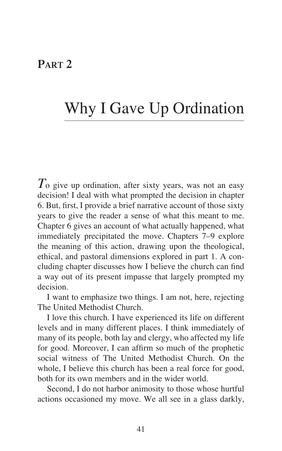## **Part 2**

# Why I Gave Up Ordination

*T*o give up ordination, after sixty years, was not an easy decision! I deal with what prompted the decision in chapter 6. But, first, I provide a brief narrative account of those sixty years to give the reader a sense of what this meant to me. Chapter 6 gives an account of what actually happened, what immediately precipitated the move. Chapters 7–9 explore the meaning of this action, drawing upon the theological, ethical, and pastoral dimensions explored in part 1. A concluding chapter discusses how I believe the church can find a way out of its present impasse that largely prompted my decision.

I want to emphasize two things. I am not, here, rejecting The United Methodist Church.

I love this church. I have experienced its life on different levels and in many different places. I think immediately of many of its people, both lay and clergy, who affected my life for good. Moreover, I can affirm so much of the prophetic social witness of The United Methodist Church. On the whole, I believe this church has been a real force for good, both for its own members and in the wider world.

Second, I do not harbor animosity to those whose hurtful actions occasioned my move. We all see in a glass darkly,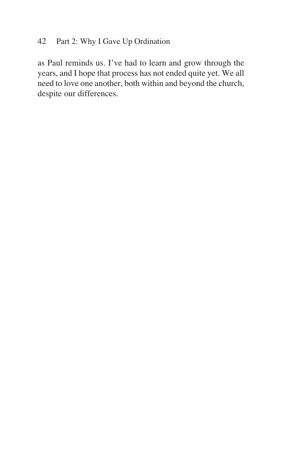### 42 Part 2: Why I Gave Up Ordination

as Paul reminds us. I've had to learn and grow through the years, and I hope that process has not ended quite yet. We all need to love one another, both within and beyond the church, despite our differences.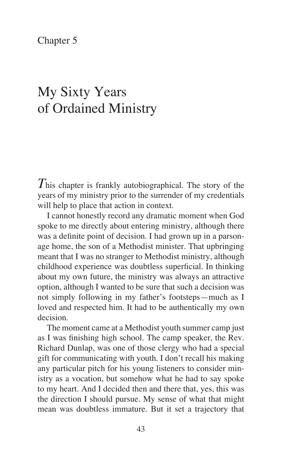## Chapter 5

## My Sixty Years of Ordained Ministry

*T*his chapter is frankly autobiographical. The story of the years of my ministry prior to the surrender of my credentials will help to place that action in context.

I cannot honestly record any dramatic moment when God spoke to me directly about entering ministry, although there was a definite point of decision. I had grown up in a parsonage home, the son of a Methodist minister. That upbringing meant that I was no stranger to Methodist ministry, although childhood experience was doubtless superficial. In thinking about my own future, the ministry was always an attractive option, although I wanted to be sure that such a decision was not simply following in my father's footsteps—much as I loved and respected him. It had to be authentically my own decision.

The moment came at a Methodist youth summer camp just as I was finishing high school. The camp speaker, the Rev. Richard Dunlap, was one of those clergy who had a special gift for communicating with youth. I don't recall his making any particular pitch for his young listeners to consider ministry as a vocation, but somehow what he had to say spoke to my heart. And I decided then and there that, yes, this was the direction I should pursue. My sense of what that might mean was doubtless immature. But it set a trajectory that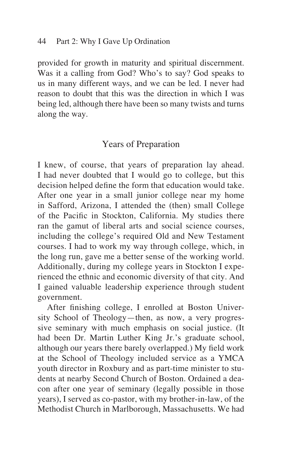#### 44 Part 2: Why I Gave Up Ordination

provided for growth in maturity and spiritual discernment. Was it a calling from God? Who's to say? God speaks to us in many different ways, and we can be led. I never had reason to doubt that this was the direction in which I was being led, although there have been so many twists and turns along the way.

### Years of Preparation

I knew, of course, that years of preparation lay ahead. I had never doubted that I would go to college, but this decision helped define the form that education would take. After one year in a small junior college near my home in Safford, Arizona, I attended the (then) small College of the Pacific in Stockton, California. My studies there ran the gamut of liberal arts and social science courses, including the college's required Old and New Testament courses. I had to work my way through college, which, in the long run, gave me a better sense of the working world. Additionally, during my college years in Stockton I experienced the ethnic and economic diversity of that city. And I gained valuable leadership experience through student government.

After finishing college, I enrolled at Boston University School of Theology—then, as now, a very progressive seminary with much emphasis on social justice. (It had been Dr. Martin Luther King Jr.'s graduate school, although our years there barely overlapped.) My field work at the School of Theology included service as a YMCA youth director in Roxbury and as part-time minister to students at nearby Second Church of Boston. Ordained a deacon after one year of seminary (legally possible in those years), I served as co-pastor, with my brother-in-law, of the Methodist Church in Marlborough, Massachusetts. We had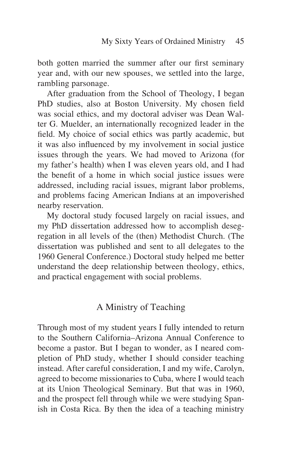both gotten married the summer after our first seminary year and, with our new spouses, we settled into the large, rambling parsonage.

After graduation from the School of Theology, I began PhD studies, also at Boston University. My chosen field was social ethics, and my doctoral adviser was Dean Walter G. Muelder, an internationally recognized leader in the field. My choice of social ethics was partly academic, but it was also influenced by my involvement in social justice issues through the years. We had moved to Arizona (for my father's health) when I was eleven years old, and I had the benefit of a home in which social justice issues were addressed, including racial issues, migrant labor problems, and problems facing American Indians at an impoverished nearby reservation.

My doctoral study focused largely on racial issues, and my PhD dissertation addressed how to accomplish desegregation in all levels of the (then) Methodist Church. (The dissertation was published and sent to all delegates to the 1960 General Conference.) Doctoral study helped me better understand the deep relationship between theology, ethics, and practical engagement with social problems.

### A Ministry of Teaching

Through most of my student years I fully intended to return to the Southern California–Arizona Annual Conference to become a pastor. But I began to wonder, as I neared completion of PhD study, whether I should consider teaching instead. After careful consideration, I and my wife, Carolyn, agreed to become missionaries to Cuba, where I would teach at its Union Theological Seminary. But that was in 1960, and the prospect fell through while we were studying Spanish in Costa Rica. By then the idea of a teaching ministry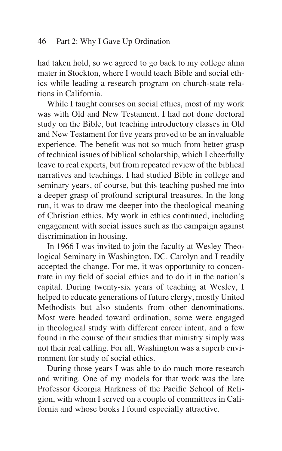had taken hold, so we agreed to go back to my college alma mater in Stockton, where I would teach Bible and social ethics while leading a research program on church-state relations in California.

While I taught courses on social ethics, most of my work was with Old and New Testament. I had not done doctoral study on the Bible, but teaching introductory classes in Old and New Testament for five years proved to be an invaluable experience. The benefit was not so much from better grasp of technical issues of biblical scholarship, which I cheerfully leave to real experts, but from repeated review of the biblical narratives and teachings. I had studied Bible in college and seminary years, of course, but this teaching pushed me into a deeper grasp of profound scriptural treasures. In the long run, it was to draw me deeper into the theological meaning of Christian ethics. My work in ethics continued, including engagement with social issues such as the campaign against discrimination in housing.

In 1966 I was invited to join the faculty at Wesley Theological Seminary in Washington, DC. Carolyn and I readily accepted the change. For me, it was opportunity to concentrate in my field of social ethics and to do it in the nation's capital. During twenty-six years of teaching at Wesley, I helped to educate generations of future clergy, mostly United Methodists but also students from other denominations. Most were headed toward ordination, some were engaged in theological study with different career intent, and a few found in the course of their studies that ministry simply was not their real calling. For all, Washington was a superb environment for study of social ethics.

During those years I was able to do much more research and writing. One of my models for that work was the late Professor Georgia Harkness of the Pacific School of Religion, with whom I served on a couple of committees in California and whose books I found especially attractive.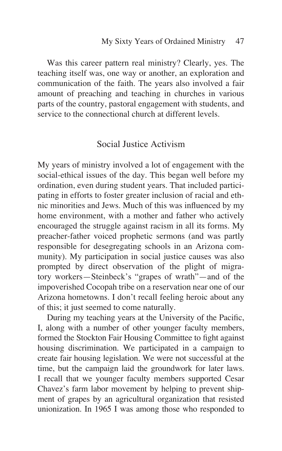Was this career pattern real ministry? Clearly, yes. The teaching itself was, one way or another, an exploration and communication of the faith. The years also involved a fair amount of preaching and teaching in churches in various parts of the country, pastoral engagement with students, and service to the connectional church at different levels.

### Social Justice Activism

My years of ministry involved a lot of engagement with the social-ethical issues of the day. This began well before my ordination, even during student years. That included participating in efforts to foster greater inclusion of racial and ethnic minorities and Jews. Much of this was influenced by my home environment, with a mother and father who actively encouraged the struggle against racism in all its forms. My preacher-father voiced prophetic sermons (and was partly responsible for desegregating schools in an Arizona community). My participation in social justice causes was also prompted by direct observation of the plight of migratory workers—Steinbeck's "grapes of wrath"—and of the impoverished Cocopah tribe on a reservation near one of our Arizona hometowns. I don't recall feeling heroic about any of this; it just seemed to come naturally.

During my teaching years at the University of the Pacific, I, along with a number of other younger faculty members, formed the Stockton Fair Housing Committee to fight against housing discrimination. We participated in a campaign to create fair housing legislation. We were not successful at the time, but the campaign laid the groundwork for later laws. I recall that we younger faculty members supported Cesar Chavez's farm labor movement by helping to prevent shipment of grapes by an agricultural organization that resisted unionization. In 1965 I was among those who responded to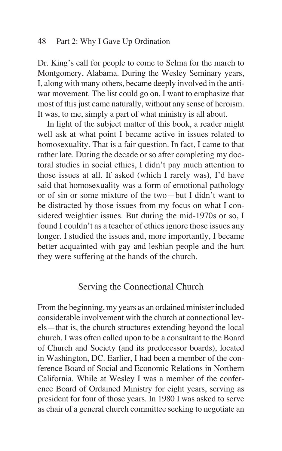Dr. King's call for people to come to Selma for the march to Montgomery, Alabama. During the Wesley Seminary years, I, along with many others, became deeply involved in the antiwar movement. The list could go on. I want to emphasize that most of this just came naturally, without any sense of heroism. It was, to me, simply a part of what ministry is all about.

In light of the subject matter of this book, a reader might well ask at what point I became active in issues related to homosexuality. That is a fair question. In fact, I came to that rather late. During the decade or so after completing my doctoral studies in social ethics, I didn't pay much attention to those issues at all. If asked (which I rarely was), I'd have said that homosexuality was a form of emotional pathology or of sin or some mixture of the two—but I didn't want to be distracted by those issues from my focus on what I considered weightier issues. But during the mid-1970s or so, I found I couldn't as a teacher of ethics ignore those issues any longer. I studied the issues and, more importantly, I became better acquainted with gay and lesbian people and the hurt they were suffering at the hands of the church.

## Serving the Connectional Church

From the beginning, my years as an ordained minister included considerable involvement with the church at connectional levels—that is, the church structures extending beyond the local church. I was often called upon to be a consultant to the Board of Church and Society (and its predecessor boards), located in Washington, DC. Earlier, I had been a member of the conference Board of Social and Economic Relations in Northern California. While at Wesley I was a member of the conference Board of Ordained Ministry for eight years, serving as president for four of those years. In 1980 I was asked to serve as chair of a general church committee seeking to negotiate an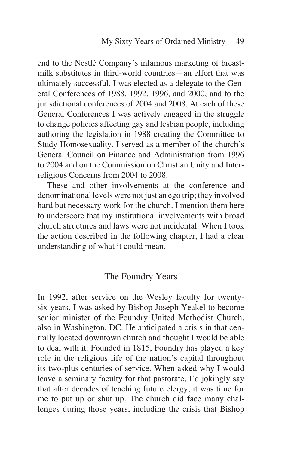end to the Nestlé Company's infamous marketing of breastmilk substitutes in third-world countries—an effort that was ultimately successful. I was elected as a delegate to the General Conferences of 1988, 1992, 1996, and 2000, and to the jurisdictional conferences of 2004 and 2008. At each of these General Conferences I was actively engaged in the struggle to change policies affecting gay and lesbian people, including authoring the legislation in 1988 creating the Committee to Study Homosexuality. I served as a member of the church's General Council on Finance and Administration from 1996 to 2004 and on the Commission on Christian Unity and Interreligious Concerns from 2004 to 2008.

These and other involvements at the conference and denominational levels were not just an ego trip; they involved hard but necessary work for the church. I mention them here to underscore that my institutional involvements with broad church structures and laws were not incidental. When I took the action described in the following chapter, I had a clear understanding of what it could mean.

### The Foundry Years

In 1992, after service on the Wesley faculty for twentysix years, I was asked by Bishop Joseph Yeakel to become senior minister of the Foundry United Methodist Church, also in Washington, DC. He anticipated a crisis in that centrally located downtown church and thought I would be able to deal with it. Founded in 1815, Foundry has played a key role in the religious life of the nation's capital throughout its two-plus centuries of service. When asked why I would leave a seminary faculty for that pastorate, I'd jokingly say that after decades of teaching future clergy, it was time for me to put up or shut up. The church did face many challenges during those years, including the crisis that Bishop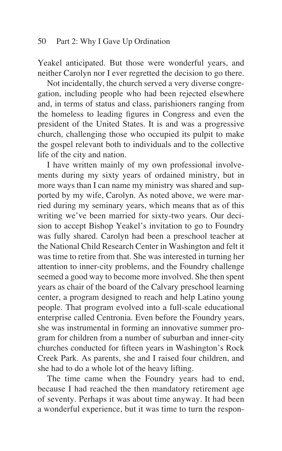Yeakel anticipated. But those were wonderful years, and neither Carolyn nor I ever regretted the decision to go there.

Not incidentally, the church served a very diverse congregation, including people who had been rejected elsewhere and, in terms of status and class, parishioners ranging from the homeless to leading figures in Congress and even the president of the United States. It is and was a progressive church, challenging those who occupied its pulpit to make the gospel relevant both to individuals and to the collective life of the city and nation.

I have written mainly of my own professional involvements during my sixty years of ordained ministry, but in more ways than I can name my ministry was shared and supported by my wife, Carolyn. As noted above, we were married during my seminary years, which means that as of this writing we've been married for sixty-two years. Our decision to accept Bishop Yeakel's invitation to go to Foundry was fully shared. Carolyn had been a preschool teacher at the National Child Research Center in Washington and felt it was time to retire from that. She was interested in turning her attention to inner-city problems, and the Foundry challenge seemed a good way to become more involved. She then spent years as chair of the board of the Calvary preschool learning center, a program designed to reach and help Latino young people. That program evolved into a full-scale educational enterprise called Centronia. Even before the Foundry years, she was instrumental in forming an innovative summer program for children from a number of suburban and inner-city churches conducted for fifteen years in Washington's Rock Creek Park. As parents, she and I raised four children, and she had to do a whole lot of the heavy lifting.

The time came when the Foundry years had to end, because I had reached the then mandatory retirement age of seventy. Perhaps it was about time anyway. It had been a wonderful experience, but it was time to turn the respon